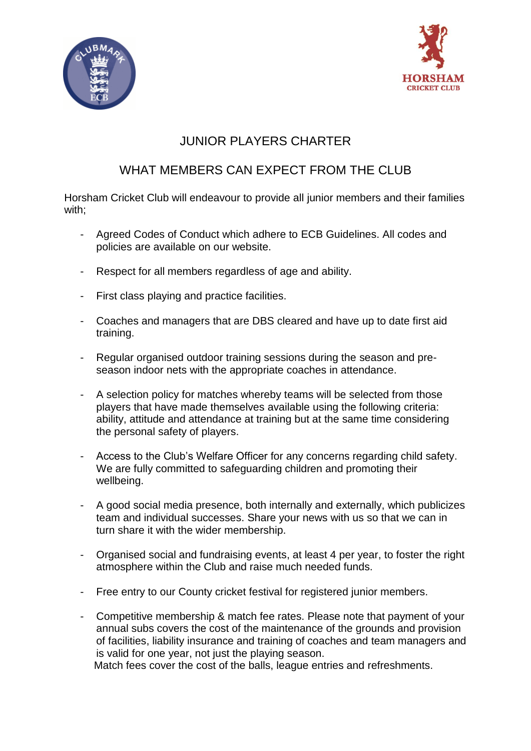



## JUNIOR PLAYERS CHARTER

## WHAT MEMBERS CAN EXPECT FROM THE CLUB

Horsham Cricket Club will endeavour to provide all junior members and their families with;

- Agreed Codes of Conduct which adhere to ECB Guidelines. All codes and policies are available on our website.
- Respect for all members regardless of age and ability.
- First class playing and practice facilities.
- Coaches and managers that are DBS cleared and have up to date first aid training.
- Regular organised outdoor training sessions during the season and preseason indoor nets with the appropriate coaches in attendance.
- A selection policy for matches whereby teams will be selected from those players that have made themselves available using the following criteria: ability, attitude and attendance at training but at the same time considering the personal safety of players.
- Access to the Club's Welfare Officer for any concerns regarding child safety. We are fully committed to safeguarding children and promoting their wellbeing.
- A good social media presence, both internally and externally, which publicizes team and individual successes. Share your news with us so that we can in turn share it with the wider membership.
- Organised social and fundraising events, at least 4 per year, to foster the right atmosphere within the Club and raise much needed funds.
- Free entry to our County cricket festival for registered junior members.
- Competitive membership & match fee rates. Please note that payment of your annual subs covers the cost of the maintenance of the grounds and provision of facilities, liability insurance and training of coaches and team managers and is valid for one year, not just the playing season.

Match fees cover the cost of the balls, league entries and refreshments.